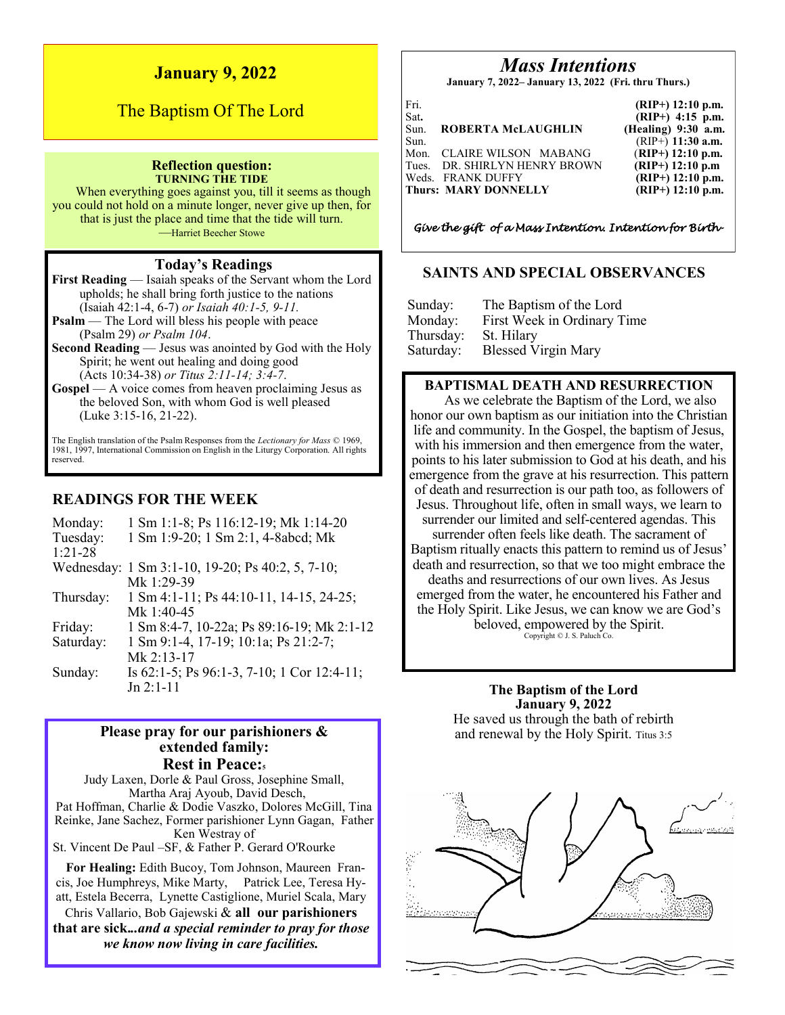## **January 9, 2022**

# The Baptism Of The Lord

#### **Reflection question: TURNING THE TIDE**

When everything goes against you, till it seems as though you could not hold on a minute longer, never give up then, for that is just the place and time that the tide will turn. —Harriet Beecher Stowe

#### **Today's Readings**

**First Reading** — Isaiah speaks of the Servant whom the Lord upholds; he shall bring forth justice to the nations (Isaiah 42:1-4, 6-7) *or Isaiah 40:1-5, 9-11.*

**Psalm** — The Lord will bless his people with peace (Psalm 29) *or Psalm 104*.

**Second Reading** — Jesus was anointed by God with the Holy Spirit; he went out healing and doing good (Acts 10:34-38) *or Titus 2:11-14; 3:4-7*.

**Gospel** — A voice comes from heaven proclaiming Jesus as the beloved Son, with whom God is well pleased (Luke 3:15-16, 21-22).

The English translation of the Psalm Responses from the *Lectionary for Mass* © 1969, 1981, 1997, International Commission on English in the Liturgy Corporation. All rights reserved.

## **READINGS FOR THE WEEK**

| Monday:   | 1 Sm 1:1-8; Ps 116:12-19; Mk 1:14-20             |
|-----------|--------------------------------------------------|
| Tuesday:  | 1 Sm 1:9-20; 1 Sm 2:1, 4-8abcd; Mk               |
| $1:21-28$ |                                                  |
|           | Wednesday: 1 Sm 3:1-10, 19-20; Ps 40:2, 5, 7-10; |
|           | Mk 1:29-39                                       |
| Thursday: | 1 Sm 4:1-11; Ps 44:10-11, 14-15, 24-25;          |
|           | Mk 1:40-45                                       |
| Friday:   | 1 Sm 8:4-7, 10-22a; Ps 89:16-19; Mk 2:1-12       |
| Saturday: | 1 Sm 9:1-4, 17-19; 10:1a; Ps 21:2-7;             |
|           | $Mk$ 2:13-17                                     |
| Sunday:   | Is 62:1-5; Ps 96:1-3, 7-10; 1 Cor 12:4-11;       |
|           | $Jn 2:1-11$                                      |

### **Please pray for our parishioners & extended family: Rest in Peace:<sup>5</sup>**

Judy Laxen, Dorle & Paul Gross, Josephine Small, Martha Araj Ayoub, David Desch, Pat Hoffman, Charlie & Dodie Vaszko, Dolores McGill, Tina Reinke, Jane Sachez, Former parishioner Lynn Gagan, Father Ken Westray of St. Vincent De Paul –SF, & Father P. Gerard O'Rourke

**For Healing:** Edith Bucoy, Tom Johnson, Maureen Francis, Joe Humphreys, Mike Marty, Patrick Lee, Teresa Hyatt, Estela Becerra, Lynette Castiglione, Muriel Scala, Mary Chris Vallario, Bob Gajewski & **all our parishioners**

**that are sick.***..and a special reminder to pray for those we know now living in care facilities.*

# *Mass Intentions*

**January 7, 2022– January 13, 2022 (Fri. thru Thurs.)**

| Fri. |                               | $(RIP+)$ 12:10 p.m.   |
|------|-------------------------------|-----------------------|
| Sat. |                               | $(RIP+)$ 4:15 p.m.    |
| Sun. | ROBERTA McLAUGHLIN            | $(Healing)$ 9:30 a.m. |
| Sun. |                               | $(RIP+)$ 11:30 a.m.   |
| Mon. | CLAIRE WILSON MABANG          | $(RIP+)$ 12:10 p.m.   |
|      | Tues. DR. SHIRLYN HENRY BROWN | $(RIP+)$ 12:10 p.m    |
|      | Weds. FRANK DUFFY             | $(RIP+)$ 12:10 p.m.   |
|      | <b>Thurs: MARY DONNELLY</b>   | $(RIP+)$ 12:10 p.m.   |

*Give the gift of a Mass Intention. Intention for Birth-*

### **SAINTS AND SPECIAL OBSERVANCES**

| Sunday:   | The Baptism of the Lord     |
|-----------|-----------------------------|
| Monday:   | First Week in Ordinary Time |
| Thursday: | St. Hilary                  |
| Saturday: | <b>Blessed Virgin Mary</b>  |

#### **BAPTISMAL DEATH AND RESURRECTION**

As we celebrate the Baptism of the Lord, we also honor our own baptism as our initiation into the Christian life and community. In the Gospel, the baptism of Jesus, with his immersion and then emergence from the water, points to his later submission to God at his death, and his emergence from the grave at his resurrection. This pattern of death and resurrection is our path too, as followers of Jesus. Throughout life, often in small ways, we learn to surrender our limited and self-centered agendas. This surrender often feels like death. The sacrament of Baptism ritually enacts this pattern to remind us of Jesus' death and resurrection, so that we too might embrace the deaths and resurrections of our own lives. As Jesus emerged from the water, he encountered his Father and the Holy Spirit. Like Jesus, we can know we are God's beloved, empowered by the Spirit. Copyright © J. S. Paluch Co.

> **The Baptism of the Lord January 9, 2022** He saved us through the bath of rebirth and renewal by the Holy Spirit. Titus 3:5